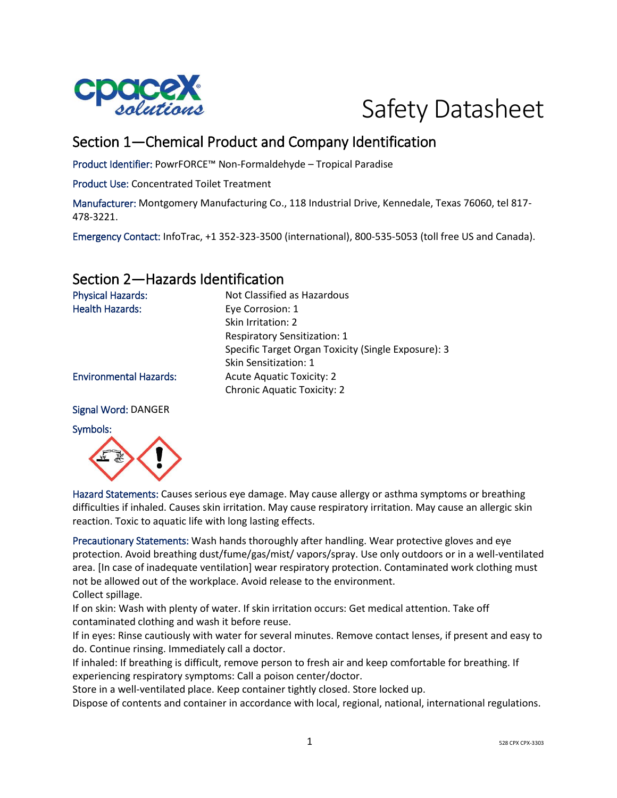



# Section 1—Chemical Product and Company Identification

Product Identifier: PowrFORCE™ Non-Formaldehyde – Tropical Paradise

Product Use: Concentrated Toilet Treatment

Manufacturer: Montgomery Manufacturing Co., 118 Industrial Drive, Kennedale, Texas 76060, tel 817- 478-3221.

Emergency Contact: InfoTrac, +1 352-323-3500 (international), 800-535-5053 (toll free US and Canada).

## Section 2—Hazards Identification

| <b>Physical Hazards:</b>      | Not Classified as Hazardous                         |
|-------------------------------|-----------------------------------------------------|
| <b>Health Hazards:</b>        | Eye Corrosion: 1                                    |
|                               | Skin Irritation: 2                                  |
|                               | <b>Respiratory Sensitization: 1</b>                 |
|                               | Specific Target Organ Toxicity (Single Exposure): 3 |
|                               | Skin Sensitization: 1                               |
| <b>Environmental Hazards:</b> | <b>Acute Aquatic Toxicity: 2</b>                    |
|                               | <b>Chronic Aquatic Toxicity: 2</b>                  |
|                               |                                                     |

Signal Word: DANGER

#### Symbols:



Hazard Statements: Causes serious eye damage. May cause allergy or asthma symptoms or breathing difficulties if inhaled. Causes skin irritation. May cause respiratory irritation. May cause an allergic skin reaction. Toxic to aquatic life with long lasting effects.

Precautionary Statements: Wash hands thoroughly after handling. Wear protective gloves and eye protection. Avoid breathing dust/fume/gas/mist/ vapors/spray. Use only outdoors or in a well-ventilated area. [In case of inadequate ventilation] wear respiratory protection. Contaminated work clothing must not be allowed out of the workplace. Avoid release to the environment. Collect spillage.

If on skin: Wash with plenty of water. If skin irritation occurs: Get medical attention. Take off contaminated clothing and wash it before reuse.

If in eyes: Rinse cautiously with water for several minutes. Remove contact lenses, if present and easy to do. Continue rinsing. Immediately call a doctor.

If inhaled: If breathing is difficult, remove person to fresh air and keep comfortable for breathing. If experiencing respiratory symptoms: Call a poison center/doctor.

Store in a well-ventilated place. Keep container tightly closed. Store locked up.

Dispose of contents and container in accordance with local, regional, national, international regulations.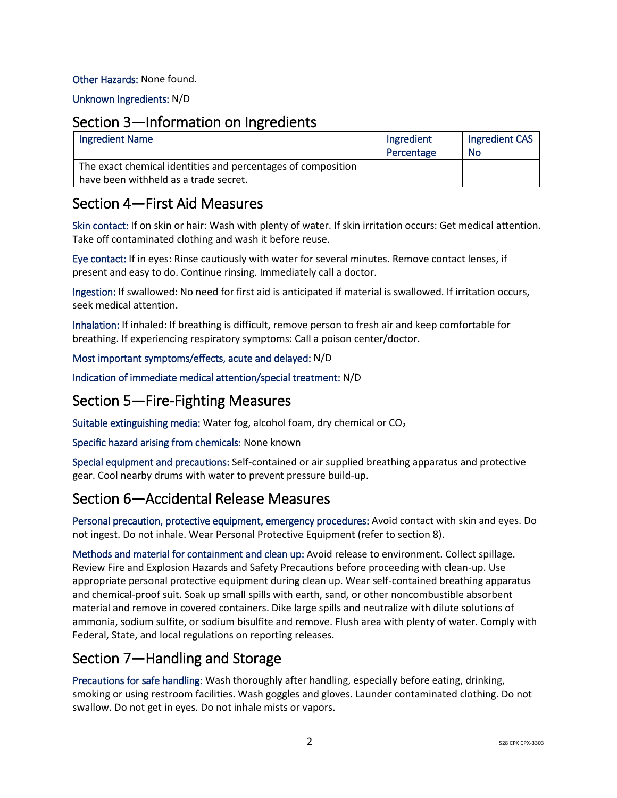### Other Hazards: None found.

Unknown Ingredients: N/D

### Section 3—Information on Ingredients

| <b>Ingredient Name</b>                                                                                | Ingredient<br>Percentage | Ingredient CAS<br><b>No</b> |
|-------------------------------------------------------------------------------------------------------|--------------------------|-----------------------------|
| The exact chemical identities and percentages of composition<br>have been withheld as a trade secret. |                          |                             |

### Section 4—First Aid Measures

Skin contact: If on skin or hair: Wash with plenty of water. If skin irritation occurs: Get medical attention. Take off contaminated clothing and wash it before reuse.

Eye contact: If in eyes: Rinse cautiously with water for several minutes. Remove contact lenses, if present and easy to do. Continue rinsing. Immediately call a doctor.

Ingestion: If swallowed: No need for first aid is anticipated if material is swallowed. If irritation occurs, seek medical attention.

Inhalation: If inhaled: If breathing is difficult, remove person to fresh air and keep comfortable for breathing. If experiencing respiratory symptoms: Call a poison center/doctor.

### Most important symptoms/effects, acute and delayed: N/D

Indication of immediate medical attention/special treatment: N/D

## Section 5—Fire-Fighting Measures

Suitable extinguishing media: Water fog, alcohol foam, dry chemical or CO₂

Specific hazard arising from chemicals: None known

Special equipment and precautions: Self-contained or air supplied breathing apparatus and protective gear. Cool nearby drums with water to prevent pressure build-up.

## Section 6—Accidental Release Measures

Personal precaution, protective equipment, emergency procedures: Avoid contact with skin and eyes. Do not ingest. Do not inhale. Wear Personal Protective Equipment (refer to section 8).

Methods and material for containment and clean up: Avoid release to environment. Collect spillage. Review Fire and Explosion Hazards and Safety Precautions before proceeding with clean-up. Use appropriate personal protective equipment during clean up. Wear self-contained breathing apparatus and chemical-proof suit. Soak up small spills with earth, sand, or other noncombustible absorbent material and remove in covered containers. Dike large spills and neutralize with dilute solutions of ammonia, sodium sulfite, or sodium bisulfite and remove. Flush area with plenty of water. Comply with Federal, State, and local regulations on reporting releases.

# Section 7—Handling and Storage

Precautions for safe handling: Wash thoroughly after handling, especially before eating, drinking, smoking or using restroom facilities. Wash goggles and gloves. Launder contaminated clothing. Do not swallow. Do not get in eyes. Do not inhale mists or vapors.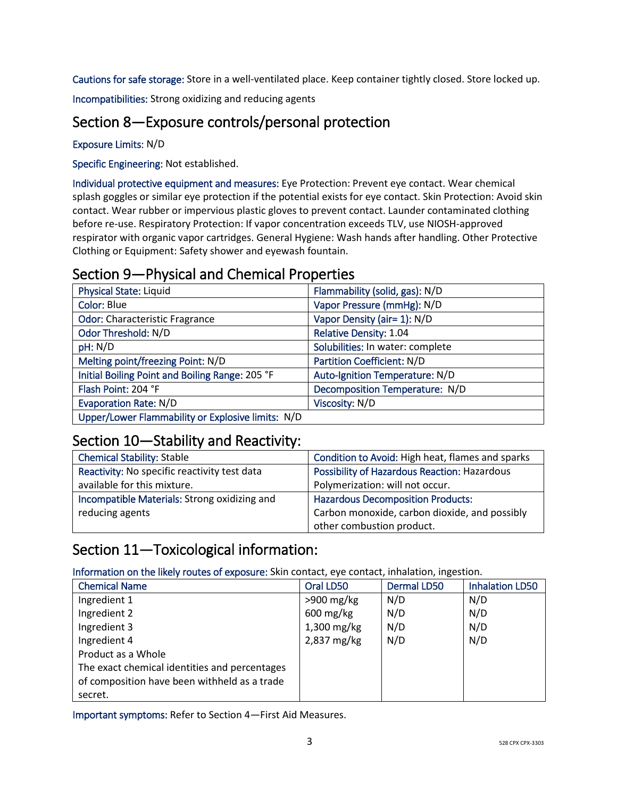Cautions for safe storage: Store in a well-ventilated place. Keep container tightly closed. Store locked up.

Incompatibilities: Strong oxidizing and reducing agents

# Section 8—Exposure controls/personal protection

Exposure Limits: N/D

Specific Engineering: Not established.

Individual protective equipment and measures: Eye Protection: Prevent eye contact. Wear chemical splash goggles or similar eye protection if the potential exists for eye contact. Skin Protection: Avoid skin contact. Wear rubber or impervious plastic gloves to prevent contact. Launder contaminated clothing before re-use. Respiratory Protection: If vapor concentration exceeds TLV, use NIOSH-approved respirator with organic vapor cartridges. General Hygiene: Wash hands after handling. Other Protective Clothing or Equipment: Safety shower and eyewash fountain.

# Section 9—Physical and Chemical Properties

| <b>Physical State: Liquid</b>                     | Flammability (solid, gas): N/D   |
|---------------------------------------------------|----------------------------------|
| Color: Blue                                       | Vapor Pressure (mmHg): N/D       |
| <b>Odor: Characteristic Fragrance</b>             | Vapor Density (air= 1): N/D      |
| Odor Threshold: N/D                               | Relative Density: 1.04           |
| pH: N/D                                           | Solubilities: In water: complete |
| Melting point/freezing Point: N/D                 | Partition Coefficient: N/D       |
| Initial Boiling Point and Boiling Range: 205 °F   | Auto-Ignition Temperature: N/D   |
| Flash Point: 204 °F                               | Decomposition Temperature: N/D   |
| <b>Evaporation Rate: N/D</b>                      | Viscosity: N/D                   |
| Upper/Lower Flammability or Explosive limits: N/D |                                  |

## Section 10—Stability and Reactivity:

| <b>Chemical Stability: Stable</b>            | Condition to Avoid: High heat, flames and sparks    |
|----------------------------------------------|-----------------------------------------------------|
| Reactivity: No specific reactivity test data | <b>Possibility of Hazardous Reaction: Hazardous</b> |
| available for this mixture.                  | Polymerization: will not occur.                     |
| Incompatible Materials: Strong oxidizing and | <b>Hazardous Decomposition Products:</b>            |
| reducing agents                              | Carbon monoxide, carbon dioxide, and possibly       |
|                                              | other combustion product.                           |

# Section 11—Toxicological information:

Information on the likely routes of exposure: Skin contact, eye contact, inhalation, ingestion.

| <b>Chemical Name</b>                          | Oral LD50              | <b>Dermal LD50</b> | <b>Inhalation LD50</b> |
|-----------------------------------------------|------------------------|--------------------|------------------------|
| Ingredient 1                                  | $>900$ mg/kg           | N/D                | N/D                    |
| Ingredient 2                                  | $600 \,\mathrm{mg/kg}$ | N/D                | N/D                    |
| Ingredient 3                                  | 1,300 mg/kg            | N/D                | N/D                    |
| Ingredient 4                                  | 2,837 mg/kg            | N/D                | N/D                    |
| Product as a Whole                            |                        |                    |                        |
| The exact chemical identities and percentages |                        |                    |                        |
| of composition have been withheld as a trade  |                        |                    |                        |
| secret.                                       |                        |                    |                        |

Important symptoms: Refer to Section 4—First Aid Measures.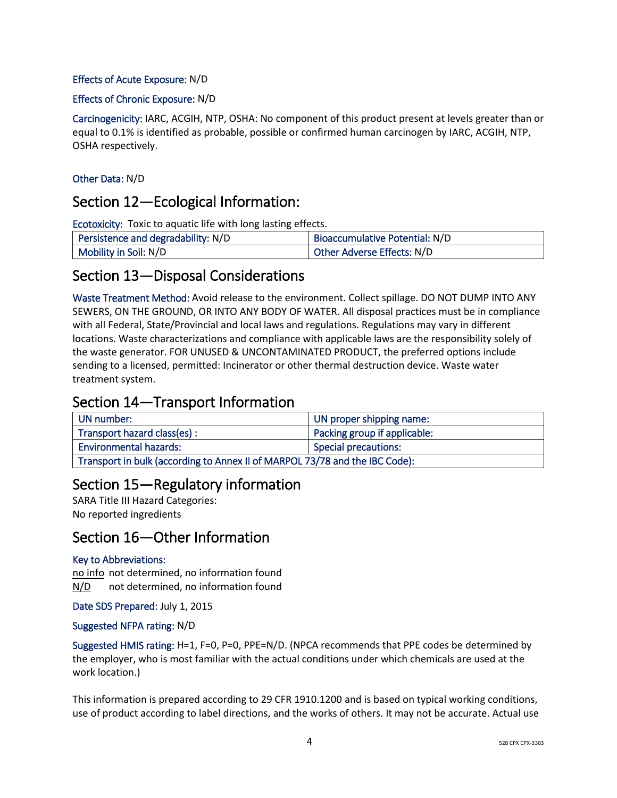### Effects of Acute Exposure: N/D

#### Effects of Chronic Exposure: N/D

Carcinogenicity: IARC, ACGIH, NTP, OSHA: No component of this product present at levels greater than or equal to 0.1% is identified as probable, possible or confirmed human carcinogen by IARC, ACGIH, NTP, OSHA respectively.

### Other Data: N/D

### Section 12—Ecological Information:

Ecotoxicity: Toxic to aquatic life with long lasting effects.

| Persistence and degradability: N/D | Bioaccumulative Potential: N/D    |
|------------------------------------|-----------------------------------|
| Mobility in Soil: N/D              | <b>Other Adverse Effects: N/D</b> |

### Section 13—Disposal Considerations

Waste Treatment Method: Avoid release to the environment. Collect spillage. DO NOT DUMP INTO ANY SEWERS, ON THE GROUND, OR INTO ANY BODY OF WATER. All disposal practices must be in compliance with all Federal, State/Provincial and local laws and regulations. Regulations may vary in different locations. Waste characterizations and compliance with applicable laws are the responsibility solely of the waste generator. FOR UNUSED & UNCONTAMINATED PRODUCT, the preferred options include sending to a licensed, permitted: Incinerator or other thermal destruction device. Waste water treatment system.

## Section 14—Transport Information

| UN number:                                                                  | UN proper shipping name:     |  |
|-----------------------------------------------------------------------------|------------------------------|--|
| Transport hazard class(es):                                                 | Packing group if applicable: |  |
| <b>Environmental hazards:</b>                                               | <b>Special precautions:</b>  |  |
| Transport in bulk (according to Annex II of MARPOL 73/78 and the IBC Code): |                              |  |

### Section 15—Regulatory information

SARA Title III Hazard Categories: No reported ingredients

## Section 16—Other Information

#### Key to Abbreviations:

no info not determined, no information found N/D not determined, no information found

Date SDS Prepared: July 1, 2015

#### Suggested NFPA rating: N/D

Suggested HMIS rating: H=1, F=0, P=0, PPE=N/D. (NPCA recommends that PPE codes be determined by the employer, who is most familiar with the actual conditions under which chemicals are used at the work location.)

This information is prepared according to 29 CFR 1910.1200 and is based on typical working conditions, use of product according to label directions, and the works of others. It may not be accurate. Actual use